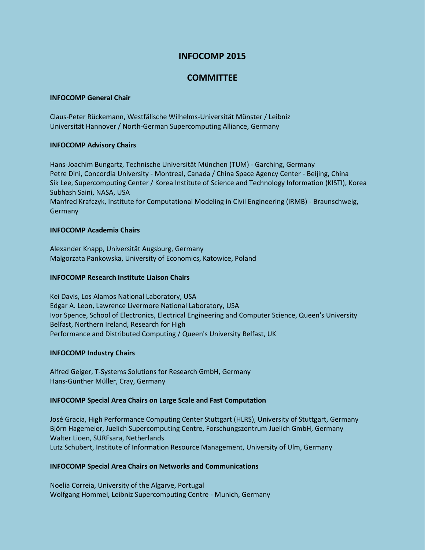## **INFOCOMP 2015**

# **COMMITTEE**

#### **INFOCOMP General Chair**

Claus-Peter Rückemann, Westfälische Wilhelms-Universität Münster / Leibniz Universität Hannover / North-German Supercomputing Alliance, Germany

## **INFOCOMP Advisory Chairs**

Hans-Joachim Bungartz, Technische Universität München (TUM) - Garching, Germany Petre Dini, Concordia University - Montreal, Canada / China Space Agency Center - Beijing, China Sik Lee, Supercomputing Center / Korea Institute of Science and Technology Information (KISTI), Korea Subhash Saini, NASA, USA Manfred Krafczyk, Institute for Computational Modeling in Civil Engineering (iRMB) - Braunschweig, Germany

## **INFOCOMP Academia Chairs**

Alexander Knapp, Universität Augsburg, Germany Malgorzata Pankowska, University of Economics, Katowice, Poland

## **INFOCOMP Research Institute Liaison Chairs**

Kei Davis, Los Alamos National Laboratory, USA Edgar A. Leon, Lawrence Livermore National Laboratory, USA Ivor Spence, School of Electronics, Electrical Engineering and Computer Science, Queen's University Belfast, Northern Ireland, Research for High Performance and Distributed Computing / Queen's University Belfast, UK

## **INFOCOMP Industry Chairs**

Alfred Geiger, T-Systems Solutions for Research GmbH, Germany Hans-Günther Müller, Cray, Germany

## **INFOCOMP Special Area Chairs on Large Scale and Fast Computation**

José Gracia, High Performance Computing Center Stuttgart (HLRS), University of Stuttgart, Germany Björn Hagemeier, Juelich Supercomputing Centre, Forschungszentrum Juelich GmbH, Germany Walter Lioen, SURFsara, Netherlands Lutz Schubert, Institute of Information Resource Management, University of Ulm, Germany

## **INFOCOMP Special Area Chairs on Networks and Communications**

Noelia Correia, University of the Algarve, Portugal Wolfgang Hommel, Leibniz Supercomputing Centre - Munich, Germany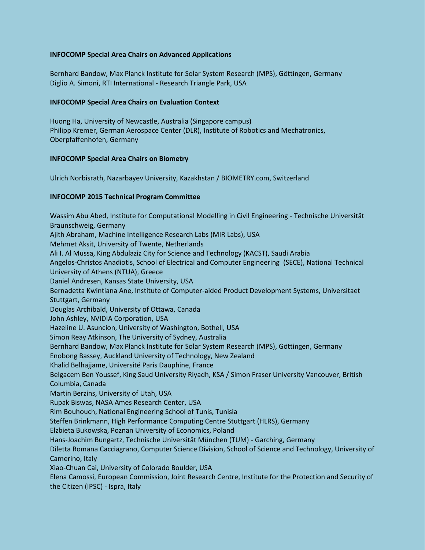## **INFOCOMP Special Area Chairs on Advanced Applications**

Bernhard Bandow, Max Planck Institute for Solar System Research (MPS), Göttingen, Germany Diglio A. Simoni, RTI International - Research Triangle Park, USA

#### **INFOCOMP Special Area Chairs on Evaluation Context**

Huong Ha, University of Newcastle, Australia (Singapore campus) Philipp Kremer, German Aerospace Center (DLR), Institute of Robotics and Mechatronics, Oberpfaffenhofen, Germany

#### **INFOCOMP Special Area Chairs on Biometry**

Ulrich Norbisrath, Nazarbayev University, Kazakhstan / BIOMETRY.com, Switzerland

#### **INFOCOMP 2015 Technical Program Committee**

Wassim Abu Abed, Institute for Computational Modelling in Civil Engineering - Technische Universität Braunschweig, Germany Ajith Abraham, Machine Intelligence Research Labs (MIR Labs), USA Mehmet Aksit, University of Twente, Netherlands Ali I. Al Mussa, King Abdulaziz City for Science and Technology (KACST), Saudi Arabia Angelos-Christos Anadiotis, School of Electrical and Computer Engineering (SECE), National Technical University of Athens (NTUA), Greece Daniel Andresen, Kansas State University, USA Bernadetta Kwintiana Ane, Institute of Computer-aided Product Development Systems, Universitaet Stuttgart, Germany Douglas Archibald, University of Ottawa, Canada John Ashley, NVIDIA Corporation, USA Hazeline U. Asuncion, University of Washington, Bothell, USA Simon Reay Atkinson, The University of Sydney, Australia Bernhard Bandow, Max Planck Institute for Solar System Research (MPS), Göttingen, Germany Enobong Bassey, Auckland University of Technology, New Zealand Khalid Belhajjame, Université Paris Dauphine, France Belgacem Ben Youssef, King Saud University Riyadh, KSA / Simon Fraser University Vancouver, British Columbia, Canada Martin Berzins, University of Utah, USA Rupak Biswas, NASA Ames Research Center, USA Rim Bouhouch, National Engineering School of Tunis, Tunisia Steffen Brinkmann, High Performance Computing Centre Stuttgart (HLRS), Germany Elzbieta Bukowska, Poznan University of Economics, Poland Hans-Joachim Bungartz, Technische Universität München (TUM) - Garching, Germany Diletta Romana Cacciagrano, Computer Science Division, School of Science and Technology, University of Camerino, Italy Xiao-Chuan Cai, University of Colorado Boulder, USA Elena Camossi, European Commission, Joint Research Centre, Institute for the Protection and Security of the Citizen (IPSC) - Ispra, Italy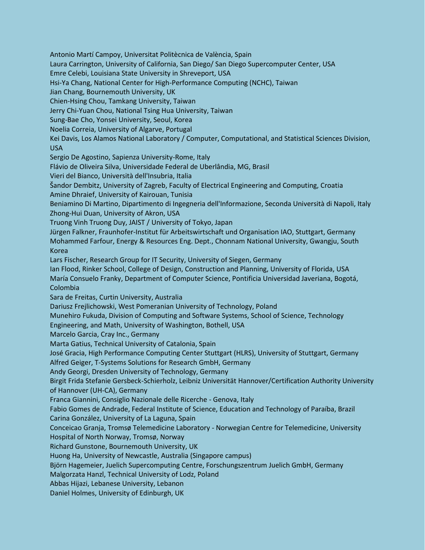Antonio Martí Campoy, Universitat Politècnica de València, Spain Laura Carrington, University of California, San Diego/ San Diego Supercomputer Center, USA Emre Celebi, Louisiana State University in Shreveport, USA Hsi-Ya Chang, National Center for High-Performance Computing (NCHC), Taiwan Jian Chang, Bournemouth University, UK Chien-Hsing Chou, Tamkang University, Taiwan Jerry Chi-Yuan Chou, National Tsing Hua University, Taiwan Sung-Bae Cho, Yonsei University, Seoul, Korea Noelia Correia, University of Algarve, Portugal Kei Davis, Los Alamos National Laboratory / Computer, Computational, and Statistical Sciences Division, USA Sergio De Agostino, Sapienza University-Rome, Italy Flávio de Oliveira Silva, Universidade Federal de Uberlândia, MG, Brasil Vieri del Bianco, Università dell'Insubria, Italia Šandor Dembitz, University of Zagreb, Faculty of Electrical Engineering and Computing, Croatia Amine Dhraief, University of Kairouan, Tunisia Beniamino Di Martino, Dipartimento di Ingegneria dell'Informazione, Seconda Università di Napoli, Italy Zhong-Hui Duan, University of Akron, USA Truong Vinh Truong Duy, JAIST / University of Tokyo, Japan Jürgen Falkner, Fraunhofer-Institut für Arbeitswirtschaft und Organisation IAO, Stuttgart, Germany Mohammed Farfour, Energy & Resources Eng. Dept., Chonnam National University, Gwangju, South Korea Lars Fischer, Research Group for IT Security, University of Siegen, Germany Ian Flood, Rinker School, College of Design, Construction and Planning, University of Florida, USA María Consuelo Franky, Department of Computer Science, Pontificia Universidad Javeriana, Bogotá, Colombia Sara de Freitas, Curtin University, Australia Dariusz Frejlichowski, West Pomeranian University of Technology, Poland Munehiro Fukuda, Division of Computing and Software Systems, School of Science, Technology Engineering, and Math, University of Washington, Bothell, USA Marcelo Garcia, Cray Inc., Germany Marta Gatius, Technical University of Catalonia, Spain José Gracia, High Performance Computing Center Stuttgart (HLRS), University of Stuttgart, Germany Alfred Geiger, T-Systems Solutions for Research GmbH, Germany Andy Georgi, Dresden University of Technology, Germany Birgit Frida Stefanie Gersbeck-Schierholz, Leibniz Universität Hannover/Certification Authority University of Hannover (UH-CA), Germany Franca Giannini, Consiglio Nazionale delle Ricerche - Genova, Italy Fabio Gomes de Andrade, Federal Institute of Science, Education and Technology of Paraíba, Brazil Carina González, University of La Laguna, Spain Conceicao Granja, Tromsø Telemedicine Laboratory - Norwegian Centre for Telemedicine, University Hospital of North Norway, Tromsø, Norway Richard Gunstone, Bournemouth University, UK Huong Ha, University of Newcastle, Australia (Singapore campus) Björn Hagemeier, Juelich Supercomputing Centre, Forschungszentrum Juelich GmbH, Germany Malgorzata Hanzl, Technical University of Lodz, Poland Abbas Hijazi, Lebanese University, Lebanon Daniel Holmes, University of Edinburgh, UK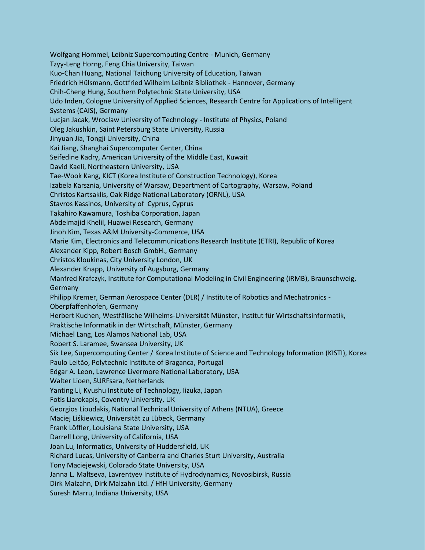Wolfgang Hommel, Leibniz Supercomputing Centre - Munich, Germany Tzyy-Leng Horng, Feng Chia University, Taiwan Kuo-Chan Huang, National Taichung University of Education, Taiwan Friedrich Hülsmann, Gottfried Wilhelm Leibniz Bibliothek - Hannover, Germany Chih-Cheng Hung, Southern Polytechnic State University, USA Udo Inden, Cologne University of Applied Sciences, Research Centre for Applications of Intelligent Systems (CAIS), Germany Lucjan Jacak, Wroclaw University of Technology - Institute of Physics, Poland Oleg Jakushkin, Saint Petersburg State University, Russia Jinyuan Jia, Tongji University, China Kai Jiang, Shanghai Supercomputer Center, China Seifedine Kadry, American University of the Middle East, Kuwait David Kaeli, Northeastern University, USA Tae-Wook Kang, KICT (Korea Institute of Construction Technology), Korea Izabela Karsznia, University of Warsaw, Department of Cartography, Warsaw, Poland Christos Kartsaklis, Oak Ridge National Laboratory (ORNL), USA Stavros Kassinos, University of Cyprus, Cyprus Takahiro Kawamura, Toshiba Corporation, Japan Abdelmajid Khelil, Huawei Research, Germany Jinoh Kim, Texas A&M University-Commerce, USA Marie Kim, Electronics and Telecommunications Research Institute (ETRI), Republic of Korea Alexander Kipp, Robert Bosch GmbH., Germany Christos Kloukinas, City University London, UK Alexander Knapp, University of Augsburg, Germany Manfred Krafczyk, Institute for Computational Modeling in Civil Engineering (iRMB), Braunschweig, Germany Philipp Kremer, German Aerospace Center (DLR) / Institute of Robotics and Mechatronics - Oberpfaffenhofen, Germany Herbert Kuchen, Westfälische Wilhelms-Universität Münster, Institut für Wirtschaftsinformatik, Praktische Informatik in der Wirtschaft, Münster, Germany Michael Lang, Los Alamos National Lab, USA Robert S. Laramee, Swansea University, UK Sik Lee, Supercomputing Center / Korea Institute of Science and Technology Information (KISTI), Korea Paulo Leitão, Polytechnic Institute of Braganca, Portugal Edgar A. Leon, Lawrence Livermore National Laboratory, USA Walter Lioen, SURFsara, Netherlands Yanting Li, Kyushu Institute of Technology, Iizuka, Japan Fotis Liarokapis, Coventry University, UK Georgios Lioudakis, National Technical University of Athens (NTUA), Greece Maciej Liśkiewicz, Universität zu Lübeck, Germany Frank Löffler, Louisiana State University, USA Darrell Long, University of California, USA Joan Lu, Informatics, University of Huddersfield, UK Richard Lucas, University of Canberra and Charles Sturt University, Australia Tony Maciejewski, Colorado State University, USA Janna L. Maltseva, Lavrentyev Institute of Hydrodynamics, Novosibirsk, Russia Dirk Malzahn, Dirk Malzahn Ltd. / HfH University, Germany Suresh Marru, Indiana University, USA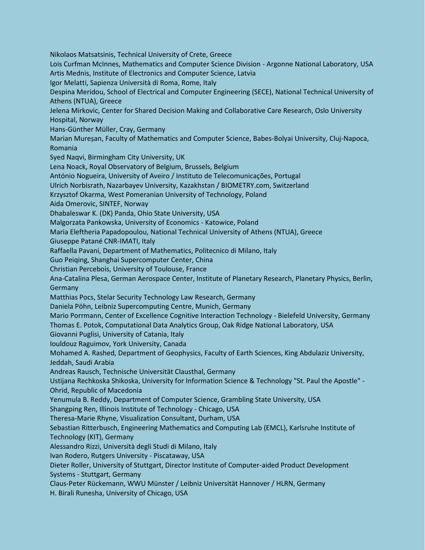Nikolaos Matsatsinis, Technical University of Crete, Greece Lois Curfman McInnes, Mathematics and Computer Science Division - Argonne National Laboratory, USA Artis Mednis, Institute of Electronics and Computer Science, Latvia Igor Melatti, Sapienza Università di Roma, Rome, Italy Despina Meridou, School of Electrical and Computer Engineering (SECE), National Technical University of Athens (NTUA), Greece Jelena Mirkovic, Center for Shared Decision Making and Collaborative Care Research, Oslo University Hospital, Norway Hans-Günther Müller, Cray, Germany Marian Mureșan, Faculty of Mathematics and Computer Science, Babes-Bolyai University, Cluj-Napoca, Romania Syed Naqvi, Birmingham City University, UK Lena Noack, Royal Observatory of Belgium, Brussels, Belgium António Nogueira, University of Aveiro / Instituto de Telecomunicações, Portugal Ulrich Norbisrath, Nazarbayev University, Kazakhstan / BIOMETRY.com, Switzerland Krzysztof Okarma, West Pomeranian University of Technology, Poland Aida Omerovic, SINTEF, Norway Dhabaleswar K. (DK) Panda, Ohio State University, USA Malgorzata Pankowska, University of Economics - Katowice, Poland Maria Eleftheria Papadopoulou, National Technical University of Athens (NTUA), Greece Giuseppe Patané CNR-IMATI, Italy Raffaella Pavani, Department of Mathematics, Politecnico di Milano, Italy Guo Peiqing, Shanghai Supercomputer Center, China Christian Percebois, University of Toulouse, France Ana-Catalina Plesa, German Aerospace Center, Institute of Planetary Research, Planetary Physics, Berlin, Germany Matthias Pocs, Stelar Security Technology Law Research, Germany Daniela Pöhn, Leibniz Supercomputing Centre, Munich, Germany Mario Porrmann, Center of Excellence Cognitive Interaction Technology - Bielefeld University, Germany Thomas E. Potok, Computational Data Analytics Group, Oak Ridge National Laboratory, USA Giovanni Puglisi, University of Catania, Italy Iouldouz Raguimov, York University, Canada Mohamed A. Rashed, Department of Geophysics, Faculty of Earth Sciences, King Abdulaziz University, Jeddah, Saudi Arabia Andreas Rausch, Technische Universität Clausthal, Germany Ustijana Rechkoska Shikoska, University for Information Science & Technology "St. Paul the Apostle" - Ohrid, Republic of Macedonia Yenumula B. Reddy, Department of Computer Science, Grambling State University, USA Shangping Ren, Illinois Institute of Technology - Chicago, USA Theresa-Marie Rhyne, Visualization Consultant, Durham, USA Sebastian Ritterbusch, Engineering Mathematics and Computing Lab (EMCL), Karlsruhe Institute of Technology (KIT), Germany Alessandro Rizzi, Università degli Studi di Milano, Italy Ivan Rodero, Rutgers University - Piscataway, USA Dieter Roller, University of Stuttgart, Director Institute of Computer-aided Product Development Systems - Stuttgart, Germany Claus-Peter Rückemann, WWU Münster / Leibniz Universität Hannover / HLRN, Germany H. Birali Runesha, University of Chicago, USA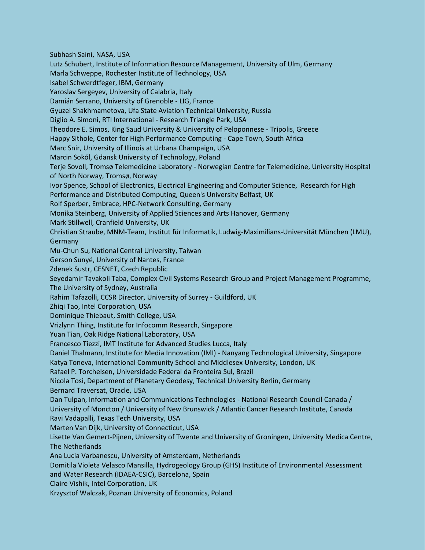Subhash Saini, NASA, USA Lutz Schubert, Institute of Information Resource Management, University of Ulm, Germany Marla Schweppe, Rochester Institute of Technology, USA Isabel Schwerdtfeger, IBM, Germany Yaroslav Sergeyev, University of Calabria, Italy Damián Serrano, University of Grenoble - LIG, France Gyuzel Shakhmametova, Ufa State Aviation Technical University, Russia Diglio A. Simoni, RTI International - Research Triangle Park, USA Theodore E. Simos, King Saud University & University of Peloponnese - Tripolis, Greece Happy Sithole, Center for High Performance Computing - Cape Town, South Africa Marc Snir, University of Illinois at Urbana Champaign, USA Marcin Sokól, Gdansk University of Technology, Poland Terje Sovoll, Tromsø Telemedicine Laboratory - Norwegian Centre for Telemedicine, University Hospital of North Norway, Tromsø, Norway Ivor Spence, School of Electronics, Electrical Engineering and Computer Science, Research for High Performance and Distributed Computing, Queen's University Belfast, UK Rolf Sperber, Embrace, HPC-Network Consulting, Germany Monika Steinberg, University of Applied Sciences and Arts Hanover, Germany Mark Stillwell, Cranfield University, UK Christian Straube, MNM-Team, Institut für Informatik, Ludwig-Maximilians-Universität München (LMU), Germany Mu-Chun Su, National Central University, Taiwan Gerson Sunyé, University of Nantes, France Zdenek Sustr, CESNET, Czech Republic Seyedamir Tavakoli Taba, Complex Civil Systems Research Group and Project Management Programme, The University of Sydney, Australia Rahim Tafazolli, CCSR Director, University of Surrey - Guildford, UK Zhiqi Tao, Intel Corporation, USA Dominique Thiebaut, Smith College, USA Vrizlynn Thing, Institute for Infocomm Research, Singapore Yuan Tian, Oak Ridge National Laboratory, USA Francesco Tiezzi, IMT Institute for Advanced Studies Lucca, Italy Daniel Thalmann, Institute for Media Innovation (IMI) - Nanyang Technological University, Singapore Katya Toneva, International Community School and Middlesex University, London, UK Rafael P. Torchelsen, Universidade Federal da Fronteira Sul, Brazil Nicola Tosi, Department of Planetary Geodesy, Technical University Berlin, Germany Bernard Traversat, Oracle, USA Dan Tulpan, Information and Communications Technologies - National Research Council Canada / University of Moncton / University of New Brunswick / Atlantic Cancer Research Institute, Canada Ravi Vadapalli, Texas Tech University, USA Marten Van Dijk, University of Connecticut, USA Lisette Van Gemert-Pijnen, University of Twente and University of Groningen, University Medica Centre, The Netherlands Ana Lucia Varbanescu, University of Amsterdam, Netherlands Domitila Violeta Velasco Mansilla, Hydrogeology Group (GHS) Institute of Environmental Assessment and Water Research (IDAEA-CSIC), Barcelona, Spain Claire Vishik, Intel Corporation, UK Krzysztof Walczak, Poznan University of Economics, Poland